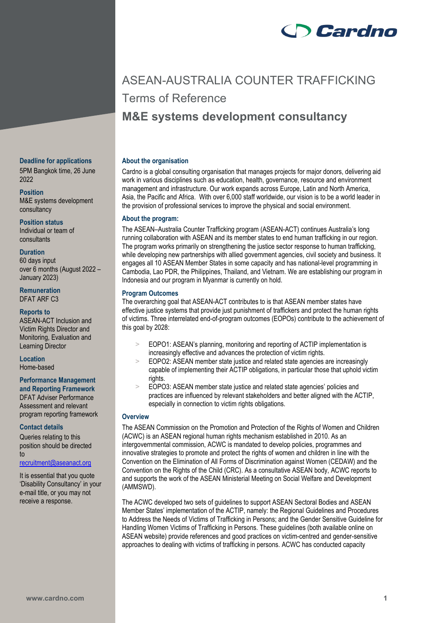

# ASEAN-AUSTRALIA COUNTER TRAFFICKING Terms of Reference **M&E systems development consultancy**

## **About the organisation**

Cardno is a global consulting organisation that manages projects for major donors, delivering aid work in various disciplines such as education, health, governance, resource and environment management and infrastructure. Our work expands across Europe, Latin and North America, Asia, the Pacific and Africa. With over 6,000 staff worldwide, our vision is to be a world leader in the provision of professional services to improve the physical and social environment.

## **About the program:**

The ASEAN–Australia Counter Trafficking program (ASEAN-ACT) continues Australia's long running collaboration with ASEAN and its member states to end human trafficking in our region. The program works primarily on strengthening the justice sector response to human trafficking, while developing new partnerships with allied government agencies, civil society and business. It engages all 10 ASEAN Member States in some capacity and has national-level programming in Cambodia, Lao PDR, the Philippines, Thailand, and Vietnam. We are establishing our program in Indonesia and our program in Myanmar is currently on hold.

## **Program Outcomes**

The overarching goal that ASEAN-ACT contributes to is that ASEAN member states have effective justice systems that provide just punishment of traffickers and protect the human rights of victims. Three interrelated end-of-program outcomes (EOPOs) contribute to the achievement of this goal by 2028:

- EOPO1: ASEAN's planning, monitoring and reporting of ACTIP implementation is increasingly effective and advances the protection of victim rights.
- > EOPO2: ASEAN member state justice and related state agencies are increasingly capable of implementing their ACTIP obligations, in particular those that uphold victim rights
- > EOPO3: ASEAN member state justice and related state agencies' policies and practices are influenced by relevant stakeholders and better aligned with the ACTIP, especially in connection to victim rights obligations.

# **Overview**

The ASEAN Commission on the Promotion and Protection of the Rights of Women and Children (ACWC) is an ASEAN regional human rights mechanism established in 2010. As an intergovernmental commission, ACWC is mandated to develop policies, programmes and innovative strategies to promote and protect the rights of women and children in line with the Convention on the Elimination of All Forms of Discrimination against Women (CEDAW) and the Convention on the Rights of the Child (CRC). As a consultative ASEAN body, ACWC reports to and supports the work of the ASEAN Ministerial Meeting on Social Welfare and Development (AMMSWD).

The ACWC developed two sets of guidelines to support ASEAN Sectoral Bodies and ASEAN Member States' implementation of the ACTIP, namely: the Regional Guidelines and Procedures to Address the Needs of Victims of Trafficking in Persons; and the Gender Sensitive Guideline for Handling Women Victims of Trafficking in Persons. These guidelines (both available online on ASEAN website) provide references and good practices on victim-centred and gender-sensitive approaches to dealing with victims of trafficking in persons. ACWC has conducted capacity

#### **Deadline for applications**

5PM Bangkok time, 26 June 2022

**Position** M&E systems development consultancy

**Position status**

Individual or team of consultants

# **Duration**

60 days input over 6 months (August 2022 – January 2023)

**Remuneration** DFAT ARF C3

## **Reports to**

ASEAN-ACT Inclusion and Victim Rights Director and Monitoring, Evaluation and Learning Director

**Location** Home-based

#### **Performance Management and Reporting Framework**

DFAT Adviser Performance Assessment and relevant program reporting framework

#### **Contact details**

Queries relating to this position should be directed to

# [recruitment@aseanact.org](mailto:recruitment@aseanact.org)

It is essential that you quote 'Disability Consultancy' in your e-mail title, or you may not receive a response.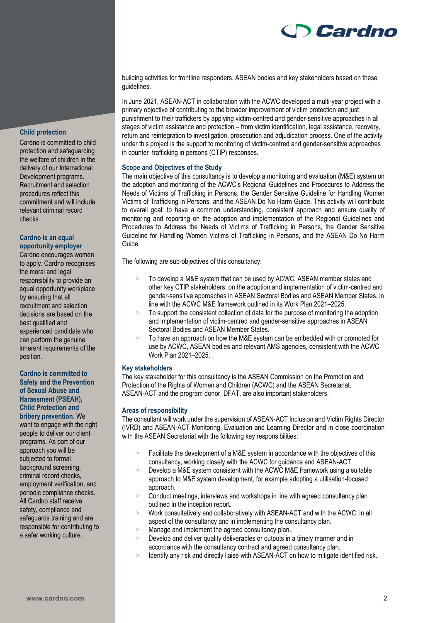

# **Child protection**

Cardno is committed to child protection and safeguarding the welfare of children in the delivery of our International Development programs. Recruitment and selection procedures reflect this commitment and will include relevant criminal record checks.

## **Cardno is an equal opportunity employer**

Cardno encourages women to apply. Cardno recognises the moral and legal responsibility to provide an equal opportunity workplace by ensuring that all recruitment and selection decisions are based on the best qualified and experienced candidate who can perform the genuine inherent requirements of the position.

## **Cardno is committed to Safety and the Prevention of Sexual Abuse and Harassment (PSEAH), Child Protection and bribery prevention**. We

want to engage with the right people to deliver our client programs. As part of our approach you will be subjected to formal background screening, criminal record checks, employment verification, and periodic compliance checks. All Cardno staff receive safety, compliance and safeguards training and are responsible for contributing to a safer working culture.

building activities for frontline responders, ASEAN bodies and key stakeholders based on these guidelines.

In June 2021, ASEAN-ACT in collaboration with the ACWC developed a multi-year project with a primary objective of contributing to the broader improvement of victim protection and just punishment to their traffickers by applying victim-centred and gender-sensitive approaches in all stages of victim assistance and protection – from victim identification, legal assistance, recovery, return and reintegration to investigation, prosecution and adjudication process. One of the activity under this project is the support to monitoring of victim-centred and gender-sensitive approaches in counter–trafficking in persons (CTIP) responses.

# **Scope and Objectives of the Study**

The main objective of this consultancy is to develop a monitoring and evaluation (M&E) system on the adoption and monitoring of the ACWC's Regional Guidelines and Procedures to Address the Needs of Victims of Trafficking in Persons, the Gender Sensitive Guideline for Handling Women Victims of Trafficking in Persons, and the ASEAN Do No Harm Guide. This activity will contribute to overall goal: to have a common understanding, consistent approach and ensure quality of monitoring and reporting on the adoption and implementation of the Regional Guidelines and Procedures to Address the Needs of Victims of Trafficking in Persons, the Gender Sensitive Guideline for Handling Women Victims of Trafficking in Persons, and the ASEAN Do No Harm Guide.

The following are sub-objectives of this consultancy:

- To develop a M&E system that can be used by ACWC, ASEAN member states and other key CTIP stakeholders, on the adoption and implementation of victim-centred and gender-sensitive approaches in ASEAN Sectoral Bodies and ASEAN Member States, in line with the ACWC M&E framework outlined in its Work Plan 2021–2025.
- > To support the consistent collection of data for the purpose of monitoring the adoption and implementation of victim-centred and gender-sensitive approaches in ASEAN Sectoral Bodies and ASEAN Member States.
- > To have an approach on how the M&E system can be embedded with or promoted for use by ACWC, ASEAN bodies and relevant AMS agencies, consistent with the ACWC Work Plan 2021–2025.

# **Key stakeholders**

The key stakeholder for this consultancy is the ASEAN Commission on the Promotion and Protection of the Rights of Women and Children (ACWC) and the ASEAN Secretariat. ASEAN-ACT and the program donor, DFAT, are also important stakeholders.

#### **Areas of responsibility**

The consultant will work under the supervision of ASEAN-ACT Inclusion and Victim Rights Director (IVRD) and ASEAN-ACT Monitoring, Evaluation and Learning Director and in close coordination with the ASEAN Secretariat with the following key responsibilities:

- > Facilitate the development of a M&E system in accordance with the objectives of this consultancy, working closely with the ACWC for guidance and ASEAN-ACT.
- > Develop a M&E system consistent with the ACWC M&E framework using a suitable approach to M&E system development, for example adopting a utilisation-focused approach.
- > Conduct meetings, interviews and workshops in line with agreed consultancy plan outlined in the inception report.
- > Work consultatively and collaboratively with ASEAN-ACT and with the ACWC, in all aspect of the consultancy and in implementing the consultancy plan.
- > Manage and implement the agreed consultancy plan.
- Develop and deliver quality deliverables or outputs in a timely manner and in accordance with the consultancy contract and agreed consultancy plan.
- > Identify any risk and directly liaise with ASEAN-ACT on how to mitigate identified risk.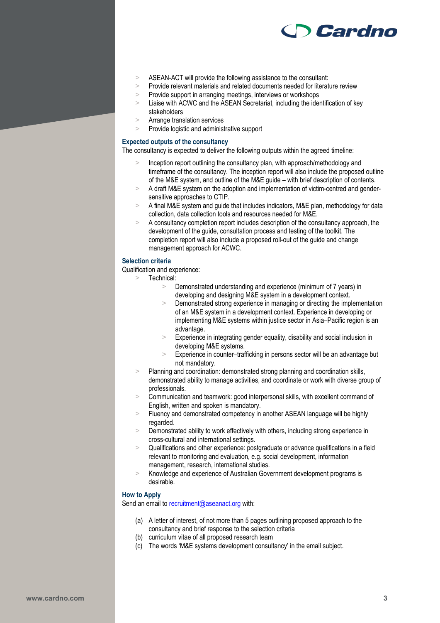

- > ASEAN-ACT will provide the following assistance to the consultant:
- > Provide relevant materials and related documents needed for literature review
- > Provide support in arranging meetings, interviews or workshops<br>> Liaise with ACWC and the ASEAN Secretariat, including the idea
- Liaise with ACWC and the ASEAN Secretariat, including the identification of key stakeholders
- > Arrange translation services
- > Provide logistic and administrative support

### **Expected outputs of the consultancy**

The consultancy is expected to deliver the following outputs within the agreed timeline:

- Inception report outlining the consultancy plan, with approach/methodology and timeframe of the consultancy. The inception report will also include the proposed outline of the M&E system, and outline of the M&E guide – with brief description of contents.
- > A draft M&E system on the adoption and implementation of victim-centred and gendersensitive approaches to CTIP.
- > A final M&E system and guide that includes indicators, M&E plan, methodology for data collection, data collection tools and resources needed for M&E.
- A consultancy completion report includes description of the consultancy approach, the development of the guide, consultation process and testing of the toolkit. The completion report will also include a proposed roll-out of the guide and change management approach for ACWC.

#### **Selection criteria**

Qualification and experience:

Technical:

- > Demonstrated understanding and experience (minimum of 7 years) in developing and designing M&E system in a development context.
- Demonstrated strong experience in managing or directing the implementation of an M&E system in a development context. Experience in developing or implementing M&E systems within justice sector in Asia–Pacific region is an advantage.
- > Experience in integrating gender equality, disability and social inclusion in developing M&E systems.
- > Experience in counter–trafficking in persons sector will be an advantage but not mandatory.
- > Planning and coordination: demonstrated strong planning and coordination skills, demonstrated ability to manage activities, and coordinate or work with diverse group of professionals.
- Communication and teamwork: good interpersonal skills, with excellent command of English, written and spoken is mandatory.
- > Fluency and demonstrated competency in another ASEAN language will be highly regarded.
- > Demonstrated ability to work effectively with others, including strong experience in cross-cultural and international settings.
- > Qualifications and other experience: postgraduate or advance qualifications in a field relevant to monitoring and evaluation, e.g. social development, information management, research, international studies.
- > Knowledge and experience of Australian Government development programs is desirable.

## **How to Apply**

Send an email to [recruitment@aseanact.org](mailto:recruitment@aseanact.org) with:

- (a) A letter of interest, of not more than 5 pages outlining proposed approach to the consultancy and brief response to the selection criteria
- (b) curriculum vitae of all proposed research team
- (c) The words 'M&E systems development consultancy' in the email subject.